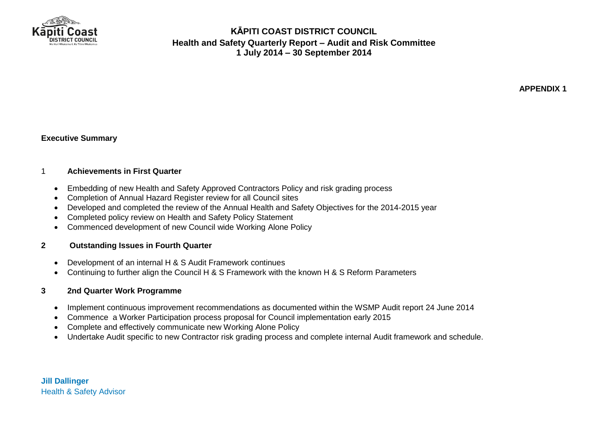

**APPENDIX 1**

#### **Executive Summary**

#### 1 **Achievements in First Quarter**

- Embedding of new Health and Safety Approved Contractors Policy and risk grading process
- Completion of Annual Hazard Register review for all Council sites
- Developed and completed the review of the Annual Health and Safety Objectives for the 2014-2015 year
- Completed policy review on Health and Safety Policy Statement
- Commenced development of new Council wide Working Alone Policy

#### **2 Outstanding Issues in Fourth Quarter**

- Development of an internal H & S Audit Framework continues
- Continuing to further align the Council H & S Framework with the known H & S Reform Parameters

#### **3 2nd Quarter Work Programme**

- Implement continuous improvement recommendations as documented within the WSMP Audit report 24 June 2014
- Commence a Worker Participation process proposal for Council implementation early 2015
- Complete and effectively communicate new Working Alone Policy
- Undertake Audit specific to new Contractor risk grading process and complete internal Audit framework and schedule.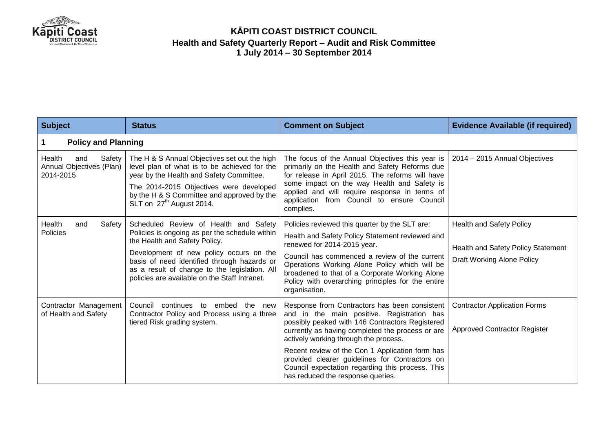

| <b>Subject</b>                                                   | <b>Status</b>                                                                                                                                                                                                                                                                                                        | <b>Comment on Subject</b>                                                                                                                                                                                                                                                                                                                                                                                                                 | <b>Evidence Available (if required)</b>                                                                    |  |
|------------------------------------------------------------------|----------------------------------------------------------------------------------------------------------------------------------------------------------------------------------------------------------------------------------------------------------------------------------------------------------------------|-------------------------------------------------------------------------------------------------------------------------------------------------------------------------------------------------------------------------------------------------------------------------------------------------------------------------------------------------------------------------------------------------------------------------------------------|------------------------------------------------------------------------------------------------------------|--|
| <b>Policy and Planning</b>                                       |                                                                                                                                                                                                                                                                                                                      |                                                                                                                                                                                                                                                                                                                                                                                                                                           |                                                                                                            |  |
| Health<br>Safety<br>and<br>Annual Objectives (Plan)<br>2014-2015 | The H & S Annual Objectives set out the high<br>level plan of what is to be achieved for the<br>year by the Health and Safety Committee.<br>The 2014-2015 Objectives were developed<br>by the H & S Committee and approved by the<br>SLT on 27 <sup>th</sup> August 2014.                                            | The focus of the Annual Objectives this year is<br>primarily on the Health and Safety Reforms due<br>for release in April 2015. The reforms will have<br>some impact on the way Health and Safety is<br>applied and will require response in terms of<br>application from Council to ensure Council<br>complies.                                                                                                                          | 2014 - 2015 Annual Objectives                                                                              |  |
| Health<br>Safety<br>and<br>Policies                              | Scheduled Review of Health and Safety<br>Policies is ongoing as per the schedule within<br>the Health and Safety Policy.<br>Development of new policy occurs on the<br>basis of need identified through hazards or<br>as a result of change to the legislation. All<br>policies are available on the Staff Intranet. | Policies reviewed this quarter by the SLT are:<br>Health and Safety Policy Statement reviewed and<br>renewed for 2014-2015 year.<br>Council has commenced a review of the current<br>Operations Working Alone Policy which will be<br>broadened to that of a Corporate Working Alone<br>Policy with overarching principles for the entire<br>organisation.                                                                                | <b>Health and Safety Policy</b><br><b>Health and Safety Policy Statement</b><br>Draft Working Alone Policy |  |
| Contractor Management<br>of Health and Safety                    | Council<br>continues<br>embed<br>the new<br>to<br>Contractor Policy and Process using a three<br>tiered Risk grading system.                                                                                                                                                                                         | Response from Contractors has been consistent<br>and in the main positive. Registration has<br>possibly peaked with 146 Contractors Registered<br>currently as having completed the process or are<br>actively working through the process.<br>Recent review of the Con 1 Application form has<br>provided clearer guidelines for Contractors on<br>Council expectation regarding this process. This<br>has reduced the response queries. | <b>Contractor Application Forms</b><br><b>Approved Contractor Register</b>                                 |  |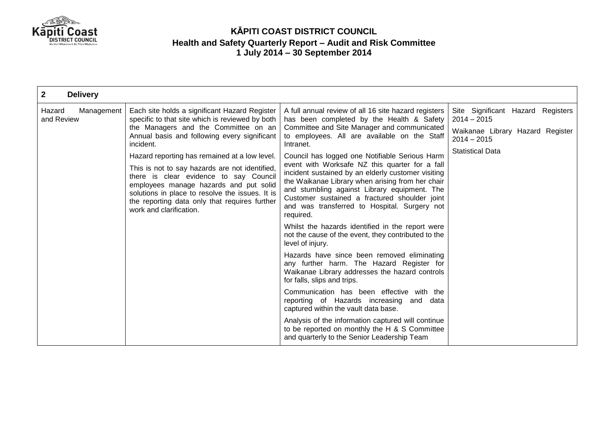

| $\mathbf{2}$<br><b>Delivery</b>                 |                                                                                                                                                                                                                                                                                                                                                                                                                                                                                                                |                                                                                                                                                                                                                                                                                                                                                                                                                                                                                                                                                                                           |                                                                                                                                    |
|-------------------------------------------------|----------------------------------------------------------------------------------------------------------------------------------------------------------------------------------------------------------------------------------------------------------------------------------------------------------------------------------------------------------------------------------------------------------------------------------------------------------------------------------------------------------------|-------------------------------------------------------------------------------------------------------------------------------------------------------------------------------------------------------------------------------------------------------------------------------------------------------------------------------------------------------------------------------------------------------------------------------------------------------------------------------------------------------------------------------------------------------------------------------------------|------------------------------------------------------------------------------------------------------------------------------------|
| Hazard<br>Management<br>and Review<br>incident. | Each site holds a significant Hazard Register<br>specific to that site which is reviewed by both<br>the Managers and the Committee on an<br>Annual basis and following every significant<br>Hazard reporting has remained at a low level.<br>This is not to say hazards are not identified,<br>there is clear evidence to say Council<br>employees manage hazards and put solid<br>solutions in place to resolve the issues. It is<br>the reporting data only that requires further<br>work and clarification. | A full annual review of all 16 site hazard registers<br>has been completed by the Health & Safety<br>Committee and Site Manager and communicated<br>to employees. All are available on the Staff<br>Intranet.<br>Council has logged one Notifiable Serious Harm<br>event with Worksafe NZ this quarter for a fall<br>incident sustained by an elderly customer visiting<br>the Waikanae Library when arising from her chair<br>and stumbling against Library equipment. The<br>Customer sustained a fractured shoulder joint<br>and was transferred to Hospital. Surgery not<br>required. | Site Significant Hazard Registers<br>$2014 - 2015$<br>Waikanae Library Hazard Register<br>$2014 - 2015$<br><b>Statistical Data</b> |
|                                                 |                                                                                                                                                                                                                                                                                                                                                                                                                                                                                                                | Whilst the hazards identified in the report were<br>not the cause of the event, they contributed to the<br>level of injury.                                                                                                                                                                                                                                                                                                                                                                                                                                                               |                                                                                                                                    |
|                                                 |                                                                                                                                                                                                                                                                                                                                                                                                                                                                                                                | Hazards have since been removed eliminating<br>any further harm. The Hazard Register for<br>Waikanae Library addresses the hazard controls<br>for falls, slips and trips.                                                                                                                                                                                                                                                                                                                                                                                                                 |                                                                                                                                    |
|                                                 |                                                                                                                                                                                                                                                                                                                                                                                                                                                                                                                | Communication has been effective with the<br>reporting of Hazards increasing and data<br>captured within the vault data base.                                                                                                                                                                                                                                                                                                                                                                                                                                                             |                                                                                                                                    |
|                                                 |                                                                                                                                                                                                                                                                                                                                                                                                                                                                                                                | Analysis of the information captured will continue<br>to be reported on monthly the H & S Committee<br>and quarterly to the Senior Leadership Team                                                                                                                                                                                                                                                                                                                                                                                                                                        |                                                                                                                                    |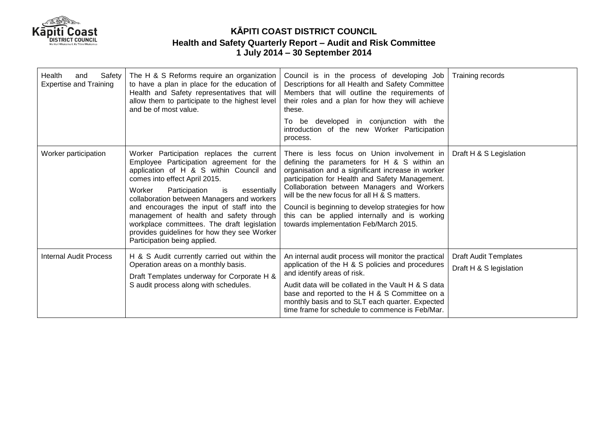

| Health<br>Safety<br>and<br><b>Expertise and Training</b> | The H & S Reforms require an organization<br>to have a plan in place for the education of<br>Health and Safety representatives that will<br>allow them to participate to the highest level<br>and be of most value.                                                                                                                                                                                                                                                                       | Council is in the process of developing Job<br>Descriptions for all Health and Safety Committee<br>Members that will outline the requirements of<br>their roles and a plan for how they will achieve<br>these.<br>be developed in conjunction with the<br>To<br>introduction of the new Worker Participation<br>process.                                                                                                                          | Training records                                        |
|----------------------------------------------------------|-------------------------------------------------------------------------------------------------------------------------------------------------------------------------------------------------------------------------------------------------------------------------------------------------------------------------------------------------------------------------------------------------------------------------------------------------------------------------------------------|---------------------------------------------------------------------------------------------------------------------------------------------------------------------------------------------------------------------------------------------------------------------------------------------------------------------------------------------------------------------------------------------------------------------------------------------------|---------------------------------------------------------|
| Worker participation                                     | Worker Participation replaces the current<br>Employee Participation agreement for the<br>application of H & S within Council and<br>comes into effect April 2015.<br>Worker<br>Participation<br>is is<br>essentially<br>collaboration between Managers and workers<br>and encourages the input of staff into the<br>management of health and safety through<br>workplace committees. The draft legislation<br>provides guidelines for how they see Worker<br>Participation being applied. | There is less focus on Union involvement in<br>defining the parameters for H & S within an<br>organisation and a significant increase in worker<br>participation for Health and Safety Management.<br>Collaboration between Managers and Workers<br>will be the new focus for all H & S matters.<br>Council is beginning to develop strategies for how<br>this can be applied internally and is working<br>towards implementation Feb/March 2015. | Draft H & S Legislation                                 |
| <b>Internal Audit Process</b>                            | H & S Audit currently carried out within the<br>Operation areas on a monthly basis.<br>Draft Templates underway for Corporate H &<br>S audit process along with schedules.                                                                                                                                                                                                                                                                                                                | An internal audit process will monitor the practical<br>application of the H & S policies and procedures<br>and identify areas of risk.<br>Audit data will be collated in the Vault H & S data<br>base and reported to the H & S Committee on a<br>monthly basis and to SLT each quarter. Expected<br>time frame for schedule to commence is Feb/Mar.                                                                                             | <b>Draft Audit Templates</b><br>Draft H & S legislation |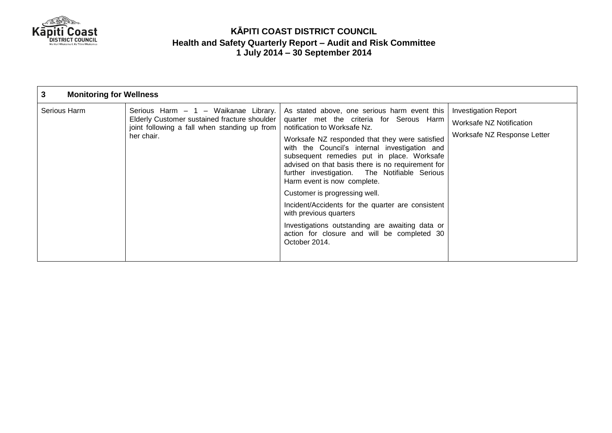

| 3<br><b>Monitoring for Wellness</b> |                                                                                                                                                    |                                                                                                                                                                                                                                                                                                                                                                                                                                                                                                                                                                                                                                                   |                                                                                 |
|-------------------------------------|----------------------------------------------------------------------------------------------------------------------------------------------------|---------------------------------------------------------------------------------------------------------------------------------------------------------------------------------------------------------------------------------------------------------------------------------------------------------------------------------------------------------------------------------------------------------------------------------------------------------------------------------------------------------------------------------------------------------------------------------------------------------------------------------------------------|---------------------------------------------------------------------------------|
| Serious Harm                        | Serious Harm - 1 - Waikanae Library.<br>Elderly Customer sustained fracture shoulder<br>joint following a fall when standing up from<br>her chair. | As stated above, one serious harm event this<br>quarter met the criteria for Serous Harm<br>notification to Worksafe Nz.<br>Worksafe NZ responded that they were satisfied<br>with the Council's internal investigation and<br>subsequent remedies put in place. Worksafe<br>advised on that basis there is no requirement for<br>further investigation. The Notifiable Serious<br>Harm event is now complete.<br>Customer is progressing well.<br>Incident/Accidents for the quarter are consistent<br>with previous quarters<br>Investigations outstanding are awaiting data or<br>action for closure and will be completed 30<br>October 2014. | Investigation Report<br>Worksafe NZ Notification<br>Worksafe NZ Response Letter |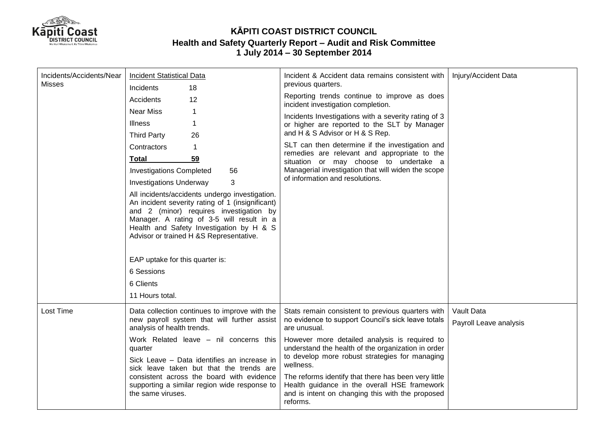

| Incidents/Accidents/Near<br>Misses | <b>Incident Statistical Data</b><br>Incidents<br>18                                                                                                                                                                                                                               | Incident & Accident data remains consistent with<br>previous quarters.                                                                                                                                                                                                                                                                                                        | Injury/Accident Data   |
|------------------------------------|-----------------------------------------------------------------------------------------------------------------------------------------------------------------------------------------------------------------------------------------------------------------------------------|-------------------------------------------------------------------------------------------------------------------------------------------------------------------------------------------------------------------------------------------------------------------------------------------------------------------------------------------------------------------------------|------------------------|
|                                    | 12<br>Accidents                                                                                                                                                                                                                                                                   | Reporting trends continue to improve as does<br>incident investigation completion.                                                                                                                                                                                                                                                                                            |                        |
|                                    | <b>Near Miss</b><br>$\mathbf 1$                                                                                                                                                                                                                                                   | Incidents Investigations with a severity rating of 3<br>or higher are reported to the SLT by Manager<br>and H & S Advisor or H & S Rep.<br>SLT can then determine if the investigation and<br>remedies are relevant and appropriate to the<br>situation or may choose to undertake a<br>Managerial investigation that will widen the scope<br>of information and resolutions. |                        |
|                                    | <b>Illness</b><br>1<br><b>Third Party</b><br>26                                                                                                                                                                                                                                   |                                                                                                                                                                                                                                                                                                                                                                               |                        |
|                                    | Contractors<br>1                                                                                                                                                                                                                                                                  |                                                                                                                                                                                                                                                                                                                                                                               |                        |
|                                    | 59<br><b>Total</b>                                                                                                                                                                                                                                                                |                                                                                                                                                                                                                                                                                                                                                                               |                        |
|                                    | <b>Investigations Completed</b><br>56                                                                                                                                                                                                                                             |                                                                                                                                                                                                                                                                                                                                                                               |                        |
|                                    | 3<br><b>Investigations Underway</b>                                                                                                                                                                                                                                               |                                                                                                                                                                                                                                                                                                                                                                               |                        |
|                                    | All incidents/accidents undergo investigation.<br>An incident severity rating of 1 (insignificant)<br>and 2 (minor) requires investigation by<br>Manager. A rating of 3-5 will result in a<br>Health and Safety Investigation by H & S<br>Advisor or trained H &S Representative. |                                                                                                                                                                                                                                                                                                                                                                               |                        |
|                                    | EAP uptake for this quarter is:                                                                                                                                                                                                                                                   |                                                                                                                                                                                                                                                                                                                                                                               |                        |
|                                    | 6 Sessions                                                                                                                                                                                                                                                                        |                                                                                                                                                                                                                                                                                                                                                                               |                        |
|                                    | 6 Clients<br>11 Hours total.                                                                                                                                                                                                                                                      |                                                                                                                                                                                                                                                                                                                                                                               |                        |
|                                    |                                                                                                                                                                                                                                                                                   |                                                                                                                                                                                                                                                                                                                                                                               |                        |
| Lost Time                          | Data collection continues to improve with the<br>new payroll system that will further assist<br>analysis of health trends.                                                                                                                                                        | Stats remain consistent to previous quarters with<br>no evidence to support Council's sick leave totals<br>are unusual.                                                                                                                                                                                                                                                       | Vault Data             |
|                                    |                                                                                                                                                                                                                                                                                   |                                                                                                                                                                                                                                                                                                                                                                               | Payroll Leave analysis |
|                                    | Work Related leave - nil concerns this<br>quarter                                                                                                                                                                                                                                 | However more detailed analysis is required to<br>understand the health of the organization in order<br>to develop more robust strategies for managing<br>wellness.                                                                                                                                                                                                            |                        |
|                                    | Sick Leave - Data identifies an increase in<br>sick leave taken but that the trends are<br>consistent across the board with evidence<br>supporting a similar region wide response to<br>the same viruses.                                                                         |                                                                                                                                                                                                                                                                                                                                                                               |                        |
|                                    |                                                                                                                                                                                                                                                                                   | The reforms identify that there has been very little<br>Health guidance in the overall HSE framework<br>and is intent on changing this with the proposed<br>reforms.                                                                                                                                                                                                          |                        |